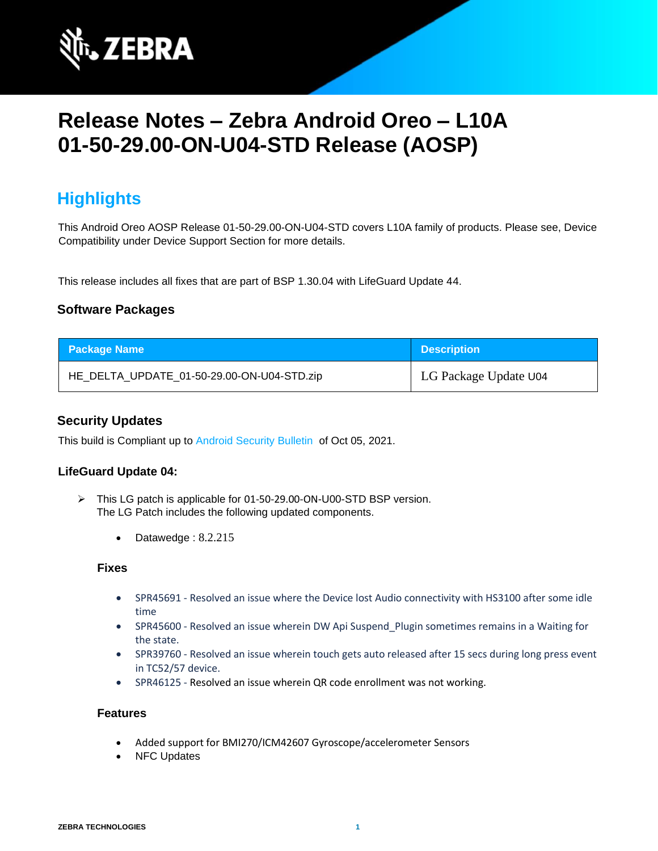

# **Release Notes – Zebra Android Oreo – L10A 01-50-29.00-ON-U04-STD Release (AOSP)**

## **Highlights**

This Android Oreo AOSP Release 01-50-29.00-ON-U04-STD covers L10A family of products. Please see, Device Compatibility under Device Support Section for more details.

This release includes all fixes that are part of BSP 1.30.04 with LifeGuard Update 44.

### **Software Packages**

| <b>Package Name</b>                        | <b>Description</b>    |
|--------------------------------------------|-----------------------|
| HE_DELTA_UPDATE_01-50-29.00-ON-U04-STD.zip | LG Package Update U04 |

### **Security Updates**

This build is Compliant up to [Android Security Bulletin](https://source.android.com/security/bulletin/) of Oct 05, 2021.

#### **LifeGuard Update 04:**

- ➢ This LG patch is applicable for 01-50-29.00-ON-U00-STD BSP version. The LG Patch includes the following updated components.
	- Datawedge : 8.2.215

#### **Fixes**

- SPR45691 Resolved an issue where the Device lost Audio connectivity with HS3100 after some idle time
- SPR45600 Resolved an issue wherein DW Api Suspend\_Plugin sometimes remains in a Waiting for the state.
- SPR39760 Resolved an issue wherein touch gets auto released after 15 secs during long press event in TC52/57 device.
- SPR46125 Resolved an issue wherein QR code enrollment was not working.

#### **Features**

- Added support for BMI270/ICM42607 Gyroscope/accelerometer Sensors
- NFC Updates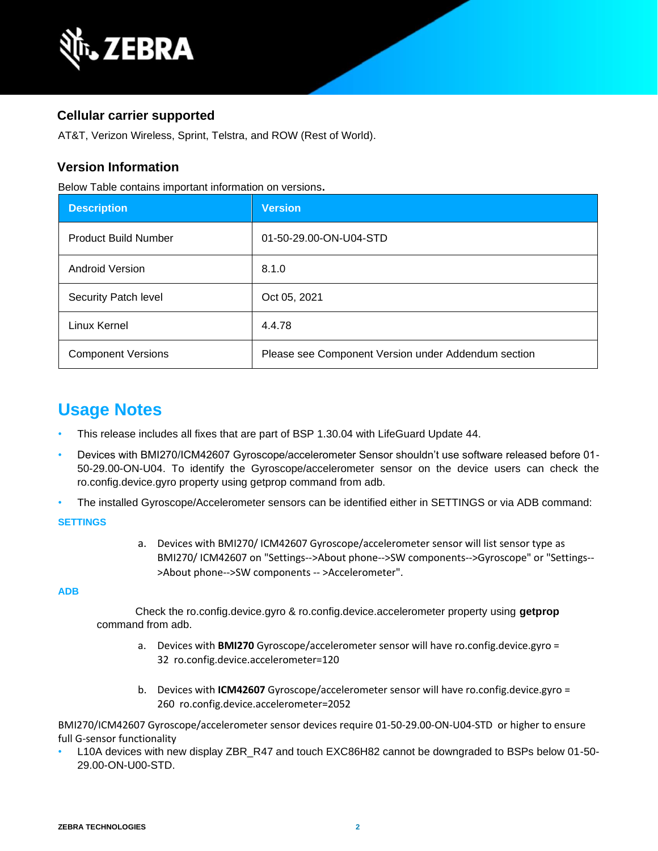

### **Cellular carrier supported**

AT&T, Verizon Wireless, Sprint, Telstra, and ROW (Rest of World).

### **Version Information**

Below Table contains important information on versions**.**

| <b>Description</b>          | Version                                             |
|-----------------------------|-----------------------------------------------------|
| <b>Product Build Number</b> | 01-50-29.00-ON-U04-STD                              |
| <b>Android Version</b>      | 8.1.0                                               |
| Security Patch level        | Oct 05, 2021                                        |
| Linux Kernel                | 4.4.78                                              |
| <b>Component Versions</b>   | Please see Component Version under Addendum section |

### **Usage Notes**

- This release includes all fixes that are part of BSP 1.30.04 with LifeGuard Update 44.
- Devices with BMI270/ICM42607 Gyroscope/accelerometer Sensor shouldn't use software released before 01- 50-29.00-ON-U04. To identify the Gyroscope/accelerometer sensor on the device users can check the ro.config.device.gyro property using getprop command from adb.
- The installed Gyroscope/Accelerometer sensors can be identified either in SETTINGS or via ADB command:

#### **SETTINGS**

a. Devices with BMI270/ ICM42607 Gyroscope/accelerometer sensor will list sensor type as BMI270/ ICM42607 on "Settings-->About phone-->SW components-->Gyroscope" or "Settings-- >About phone-->SW components -- >Accelerometer".

#### **ADB**

Check the ro.config.device.gyro & ro.config.device.accelerometer property using **getprop** command from adb.

- a. Devices with **BMI270** Gyroscope/accelerometer sensor will have ro.config.device.gyro = 32 ro.config.device.accelerometer=120
- b. Devices with **ICM42607** Gyroscope/accelerometer sensor will have ro.config.device.gyro = 260 ro.config.device.accelerometer=2052

BMI270/ICM42607 Gyroscope/accelerometer sensor devices require 01-50-29.00-ON-U04-STD or higher to ensure full G-sensor functionality

L10A devices with new display ZBR\_R47 and touch EXC86H82 cannot be downgraded to BSPs below 01-50-29.00-ON-U00-STD.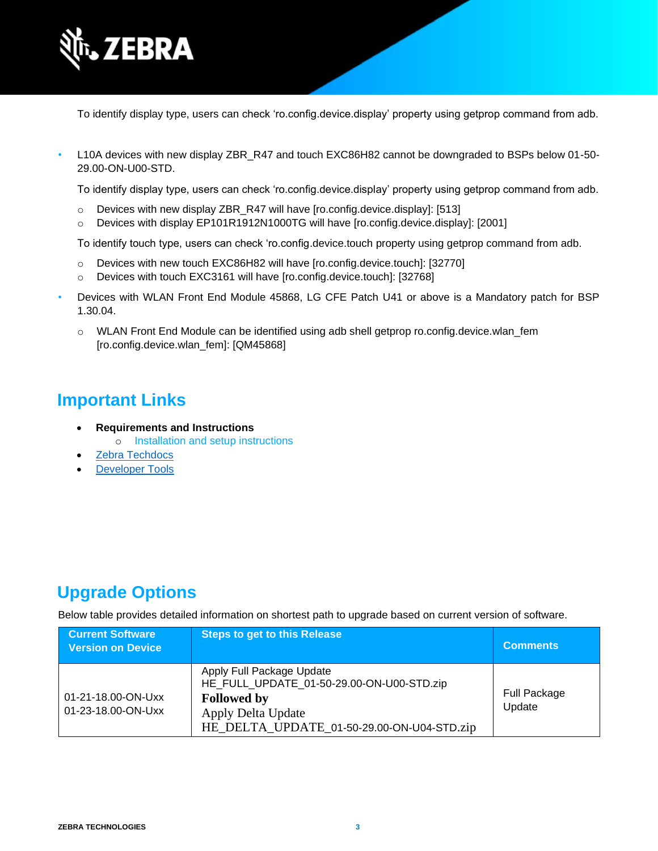

To identify display type, users can check 'ro.config.device.display' property using getprop command from adb.

L10A devices with new display ZBR\_R47 and touch EXC86H82 cannot be downgraded to BSPs below 01-50-29.00-ON-U00-STD.

To identify display type, users can check 'ro.config.device.display' property using getprop command from adb.

- o Devices with new display ZBR\_R47 will have [ro.config.device.display]: [513]
- o Devices with display EP101R1912N1000TG will have [ro.config.device.display]: [2001]

To identify touch type, users can check 'ro.config.device.touch property using getprop command from adb.

- o Devices with new touch EXC86H82 will have [ro.config.device.touch]: [32770]
- o Devices with touch EXC3161 will have [ro.config.device.touch]: [32768]
- Devices with WLAN Front End Module 45868, LG CFE Patch U41 or above is a Mandatory patch for BSP 1.30.04.
	- o WLAN Front End Module can be identified using adb shell getprop ro.config.device.wlan\_fem [ro.config.device.wlan\_fem]: [QM45868]

## **Important Links**

- **Requirements and Instructions** 
	- o [Installation and setup instructions](https://www.zebra.com/content/dam/zebra_new_ia/en-us/software/operating-system/helios/oreo-os-update-instructions.pdf)
- [Zebra Techdocs](https://techdocs.zebra.com/)
- **[Developer Tools](https://developer.zebra.com/)**

## **Upgrade Options**

Below table provides detailed information on shortest path to upgrade based on current version of software.

| <b>Current Software</b><br><b>Version on Device</b> | <b>Steps to get to this Release</b>                                                                                                                              | <b>Comments</b>        |
|-----------------------------------------------------|------------------------------------------------------------------------------------------------------------------------------------------------------------------|------------------------|
| 01-21-18.00-ON-Uxx<br>01-23-18.00-ON-Uxx            | Apply Full Package Update<br>HE_FULL_UPDATE_01-50-29.00-ON-U00-STD.zip<br><b>Followed by</b><br>Apply Delta Update<br>HE_DELTA_UPDATE_01-50-29.00-ON-U04-STD.zip | Full Package<br>Update |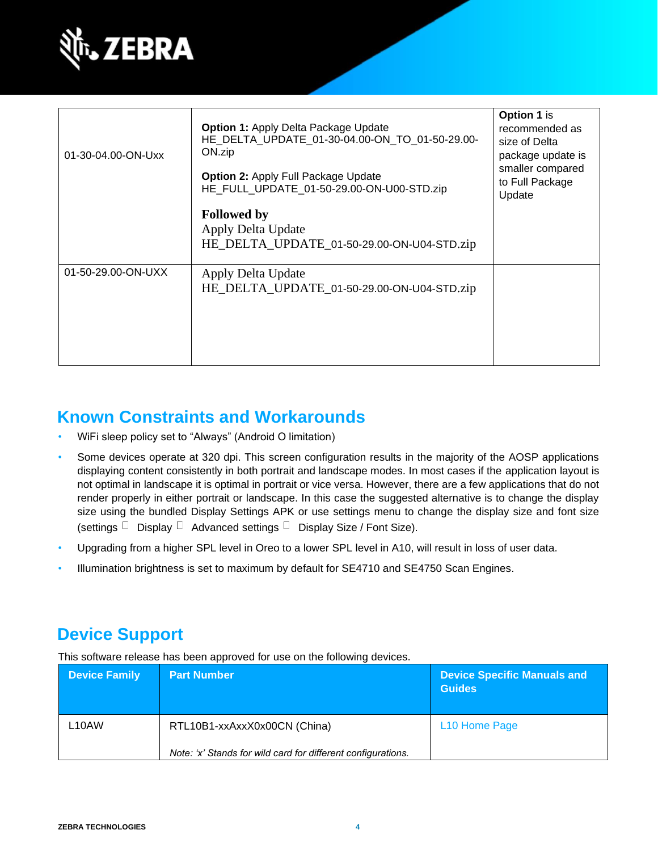

| 01-30-04.00-ON-Uxx | <b>Option 1: Apply Delta Package Update</b><br>HE DELTA UPDATE 01-30-04.00-ON TO 01-50-29.00-<br>ON.zip<br><b>Option 2:</b> Apply Full Package Update<br>HE FULL UPDATE 01-50-29.00-ON-U00-STD.zip | Option 1 is<br>recommended as<br>size of Delta<br>package update is<br>smaller compared<br>to Full Package<br>Update |
|--------------------|----------------------------------------------------------------------------------------------------------------------------------------------------------------------------------------------------|----------------------------------------------------------------------------------------------------------------------|
|                    | <b>Followed by</b><br>Apply Delta Update<br>HE_DELTA_UPDATE_01-50-29.00-ON-U04-STD.zip                                                                                                             |                                                                                                                      |
| 01-50-29.00-ON-UXX | Apply Delta Update<br>HE DELTA UPDATE 01-50-29.00-ON-U04-STD.zip                                                                                                                                   |                                                                                                                      |

## **Known Constraints and Workarounds**

- WiFi sleep policy set to "Always" (Android O limitation)
- Some devices operate at 320 dpi. This screen configuration results in the majority of the AOSP applications displaying content consistently in both portrait and landscape modes. In most cases if the application layout is not optimal in landscape it is optimal in portrait or vice versa. However, there are a few applications that do not render properly in either portrait or landscape. In this case the suggested alternative is to change the display size using the bundled Display Settings APK or use settings menu to change the display size and font size (settings  $\Box$  Display  $\Box$  Advanced settings  $\Box$  Display Size / Font Size).
- Upgrading from a higher SPL level in Oreo to a lower SPL level in A10, will result in loss of user data.
- Illumination brightness is set to maximum by default for SE4710 and SE4750 Scan Engines.

### **Device Support**

This software release has been approved for use on the following devices.

| <b>Device Family</b> | <b>Part Number</b>                                           | <b>Device Specific Manuals and</b><br><b>Guides</b> |
|----------------------|--------------------------------------------------------------|-----------------------------------------------------|
| L10AW                | RTL10B1-xxAxxX0x00CN (China)                                 | L10 Home Page                                       |
|                      | Note: 'x' Stands for wild card for different configurations. |                                                     |